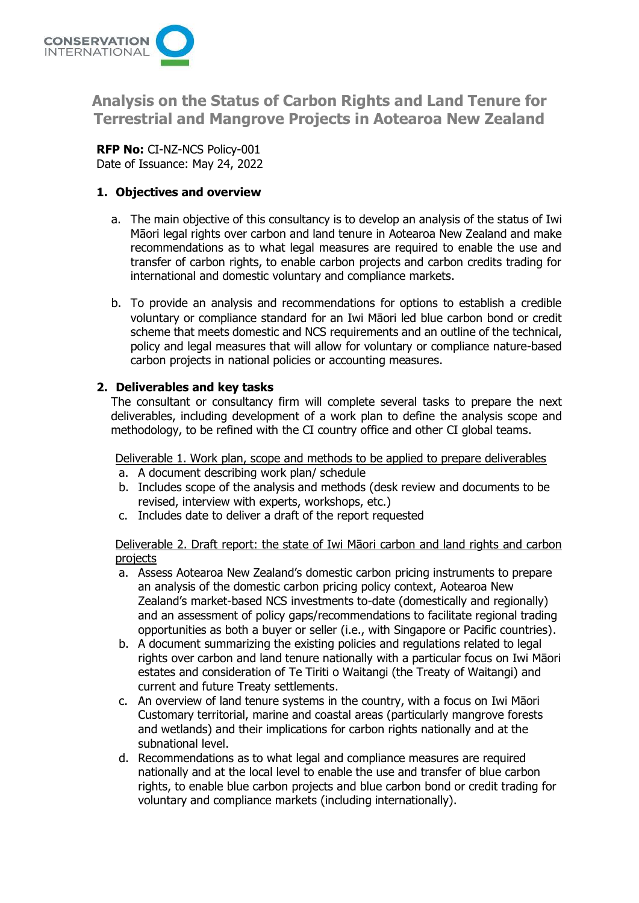

**Analysis on the Status of Carbon Rights and Land Tenure for Terrestrial and Mangrove Projects in Aotearoa New Zealand**

**RFP No:** CI-NZ-NCS Policy-001 Date of Issuance: May 24, 2022

# **1. Objectives and overview**

- a. The main objective of this consultancy is to develop an analysis of the status of Iwi Māori legal rights over carbon and land tenure in Aotearoa New Zealand and make recommendations as to what legal measures are required to enable the use and transfer of carbon rights, to enable carbon projects and carbon credits trading for international and domestic voluntary and compliance markets.
- b. To provide an analysis and recommendations for options to establish a credible voluntary or compliance standard for an Iwi Māori led blue carbon bond or credit scheme that meets domestic and NCS requirements and an outline of the technical, policy and legal measures that will allow for voluntary or compliance nature-based carbon projects in national policies or accounting measures.

# **2. Deliverables and key tasks**

The consultant or consultancy firm will complete several tasks to prepare the next deliverables, including development of a work plan to define the analysis scope and methodology, to be refined with the CI country office and other CI global teams.

Deliverable 1. Work plan, scope and methods to be applied to prepare deliverables

- a. A document describing work plan/ schedule
- b. Includes scope of the analysis and methods (desk review and documents to be revised, interview with experts, workshops, etc.)
- c. Includes date to deliver a draft of the report requested

Deliverable 2. Draft report: the state of Iwi Māori carbon and land rights and carbon projects

- a. Assess Aotearoa New Zealand's domestic carbon pricing instruments to prepare an analysis of the domestic carbon pricing policy context, Aotearoa New Zealand's market-based NCS investments to-date (domestically and regionally) and an assessment of policy gaps/recommendations to facilitate regional trading opportunities as both a buyer or seller (i.e., with Singapore or Pacific countries).
- b. A document summarizing the existing policies and regulations related to legal rights over carbon and land tenure nationally with a particular focus on Iwi Māori estates and consideration of Te Tiriti o Waitangi (the Treaty of Waitangi) and current and future Treaty settlements.
- c. An overview of land tenure systems in the country, with a focus on Iwi Māori Customary territorial, marine and coastal areas (particularly mangrove forests and wetlands) and their implications for carbon rights nationally and at the subnational level.
- d. Recommendations as to what legal and compliance measures are required nationally and at the local level to enable the use and transfer of blue carbon rights, to enable blue carbon projects and blue carbon bond or credit trading for voluntary and compliance markets (including internationally).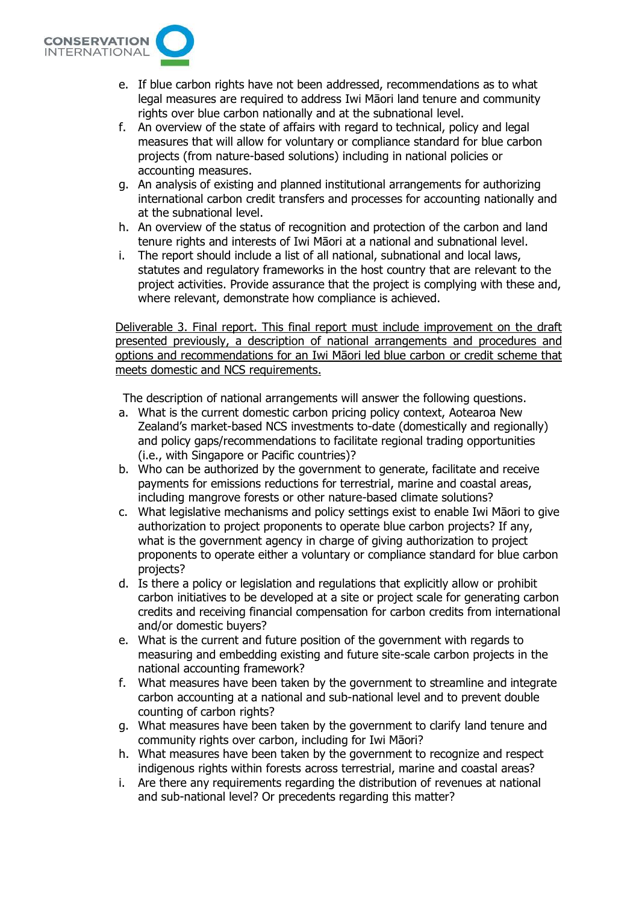

- e. If blue carbon rights have not been addressed, recommendations as to what legal measures are required to address Iwi Māori land tenure and community rights over blue carbon nationally and at the subnational level.
- f. An overview of the state of affairs with regard to technical, policy and legal measures that will allow for voluntary or compliance standard for blue carbon projects (from nature-based solutions) including in national policies or accounting measures.
- g. An analysis of existing and planned institutional arrangements for authorizing international carbon credit transfers and processes for accounting nationally and at the subnational level.
- h. An overview of the status of recognition and protection of the carbon and land tenure rights and interests of Iwi Māori at a national and subnational level.
- i. The report should include a list of all national, subnational and local laws, statutes and regulatory frameworks in the host country that are relevant to the project activities. Provide assurance that the project is complying with these and, where relevant, demonstrate how compliance is achieved.

Deliverable 3. Final report. This final report must include improvement on the draft presented previously, a description of national arrangements and procedures and options and recommendations for an Iwi Māori led blue carbon or credit scheme that meets domestic and NCS requirements.

The description of national arrangements will answer the following questions.

- a. What is the current domestic carbon pricing policy context, Aotearoa New Zealand's market-based NCS investments to-date (domestically and regionally) and policy gaps/recommendations to facilitate regional trading opportunities (i.e., with Singapore or Pacific countries)?
- b. Who can be authorized by the government to generate, facilitate and receive payments for emissions reductions for terrestrial, marine and coastal areas, including mangrove forests or other nature-based climate solutions?
- c. What legislative mechanisms and policy settings exist to enable Iwi Māori to give authorization to project proponents to operate blue carbon projects? If any, what is the government agency in charge of giving authorization to project proponents to operate either a voluntary or compliance standard for blue carbon projects?
- d. Is there a policy or legislation and regulations that explicitly allow or prohibit carbon initiatives to be developed at a site or project scale for generating carbon credits and receiving financial compensation for carbon credits from international and/or domestic buyers?
- e. What is the current and future position of the government with regards to measuring and embedding existing and future site-scale carbon projects in the national accounting framework?
- f. What measures have been taken by the government to streamline and integrate carbon accounting at a national and sub-national level and to prevent double counting of carbon rights?
- g. What measures have been taken by the government to clarify land tenure and community rights over carbon, including for Iwi Māori?
- h. What measures have been taken by the government to recognize and respect indigenous rights within forests across terrestrial, marine and coastal areas?
- i. Are there any requirements regarding the distribution of revenues at national and sub-national level? Or precedents regarding this matter?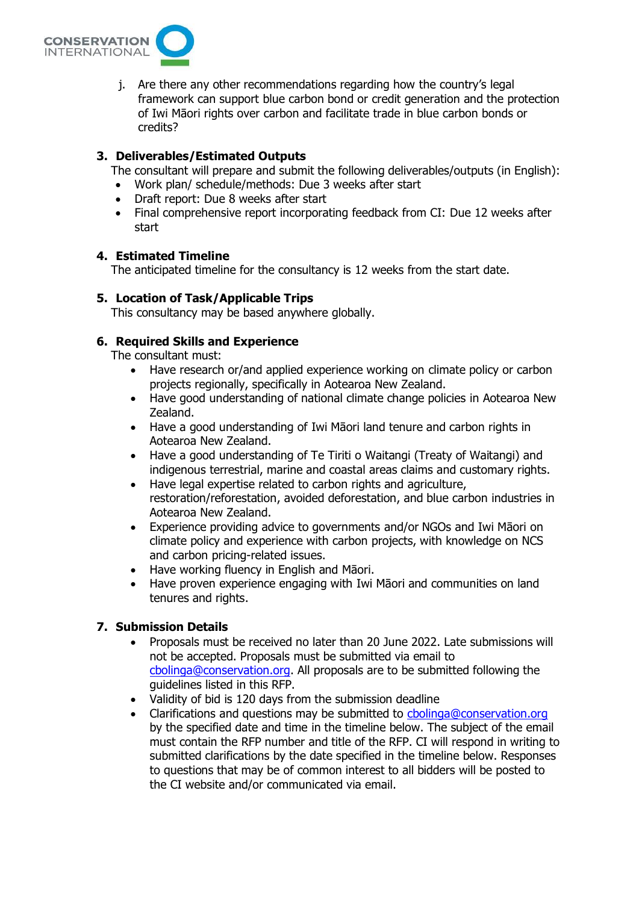

j. Are there any other recommendations regarding how the country's legal framework can support blue carbon bond or credit generation and the protection of Iwi Māori rights over carbon and facilitate trade in blue carbon bonds or credits?

## **3. Deliverables/Estimated Outputs**

The consultant will prepare and submit the following deliverables/outputs (in English):

- Work plan/ schedule/methods: Due 3 weeks after start
- Draft report: Due 8 weeks after start
- Final comprehensive report incorporating feedback from CI: Due 12 weeks after start

#### **4. Estimated Timeline**

The anticipated timeline for the consultancy is 12 weeks from the start date.

#### **5. Location of Task/Applicable Trips**

This consultancy may be based anywhere globally.

### **6. Required Skills and Experience**

The consultant must:

- Have research or/and applied experience working on climate policy or carbon projects regionally, specifically in Aotearoa New Zealand.
- Have good understanding of national climate change policies in Aotearoa New Zealand.
- Have a good understanding of Iwi Māori land tenure and carbon rights in Aotearoa New Zealand.
- Have a good understanding of Te Tiriti o Waitangi (Treaty of Waitangi) and indigenous terrestrial, marine and coastal areas claims and customary rights.
- Have legal expertise related to carbon rights and agriculture, restoration/reforestation, avoided deforestation, and blue carbon industries in Aotearoa New Zealand.
- Experience providing advice to governments and/or NGOs and Iwi Māori on climate policy and experience with carbon projects, with knowledge on NCS and carbon pricing-related issues.
- Have working fluency in English and Māori.
- Have proven experience engaging with Iwi Māori and communities on land tenures and rights.

# **7. Submission Details**

- Proposals must be received no later than 20 June 2022. Late submissions will not be accepted. Proposals must be submitted via email to [cbolinga@conservation.org.](mailto:cbolinga@conservation.org) All proposals are to be submitted following the guidelines listed in this RFP.
- Validity of bid is 120 days from the submission deadline
- Clarifications and questions may be submitted to [cbolinga@conservation.org](mailto:cbolinga@conservation.org) by the specified date and time in the timeline below. The subject of the email must contain the RFP number and title of the RFP. CI will respond in writing to submitted clarifications by the date specified in the timeline below. Responses to questions that may be of common interest to all bidders will be posted to the CI website and/or communicated via email.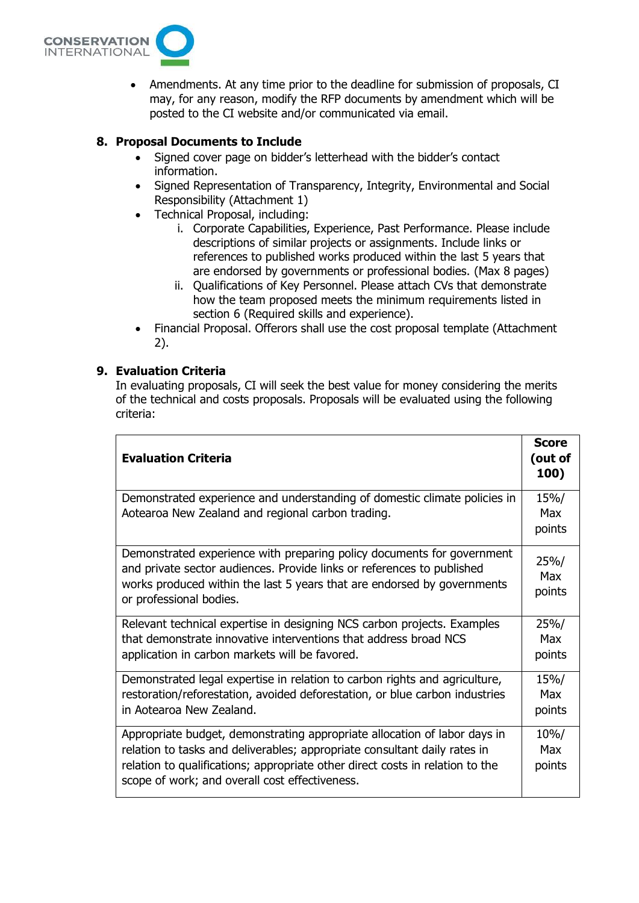

• Amendments. At any time prior to the deadline for submission of proposals, CI may, for any reason, modify the RFP documents by amendment which will be posted to the CI website and/or communicated via email.

# **8. Proposal Documents to Include**

- Signed cover page on bidder's letterhead with the bidder's contact information.
- Signed Representation of Transparency, Integrity, Environmental and Social Responsibility (Attachment 1)
- Technical Proposal, including:
	- i. Corporate Capabilities, Experience, Past Performance. Please include descriptions of similar projects or assignments. Include links or references to published works produced within the last 5 years that are endorsed by governments or professional bodies. (Max 8 pages)
	- ii. Qualifications of Key Personnel. Please attach CVs that demonstrate how the team proposed meets the minimum requirements listed in section 6 (Required skills and experience).
- Financial Proposal. Offerors shall use the cost proposal template (Attachment 2).

#### **9. Evaluation Criteria**

In evaluating proposals, CI will seek the best value for money considering the merits of the technical and costs proposals. Proposals will be evaluated using the following criteria:

| <b>Evaluation Criteria</b>                                                                                                                                                                                                                                                                | <b>Score</b><br>(out of<br>100) |
|-------------------------------------------------------------------------------------------------------------------------------------------------------------------------------------------------------------------------------------------------------------------------------------------|---------------------------------|
| Demonstrated experience and understanding of domestic climate policies in<br>Aotearoa New Zealand and regional carbon trading.                                                                                                                                                            | 15%/<br>Max<br>points           |
| Demonstrated experience with preparing policy documents for government<br>and private sector audiences. Provide links or references to published<br>works produced within the last 5 years that are endorsed by governments<br>or professional bodies.                                    | 25%/<br><b>Max</b><br>points    |
| Relevant technical expertise in designing NCS carbon projects. Examples<br>that demonstrate innovative interventions that address broad NCS<br>application in carbon markets will be favored.                                                                                             | 25%/<br><b>Max</b><br>points    |
| Demonstrated legal expertise in relation to carbon rights and agriculture,<br>restoration/reforestation, avoided deforestation, or blue carbon industries<br>in Aotearoa New Zealand.                                                                                                     | 15%/<br>Max<br>points           |
| Appropriate budget, demonstrating appropriate allocation of labor days in<br>relation to tasks and deliverables; appropriate consultant daily rates in<br>relation to qualifications; appropriate other direct costs in relation to the<br>scope of work; and overall cost effectiveness. | $10\%/$<br>Max<br>points        |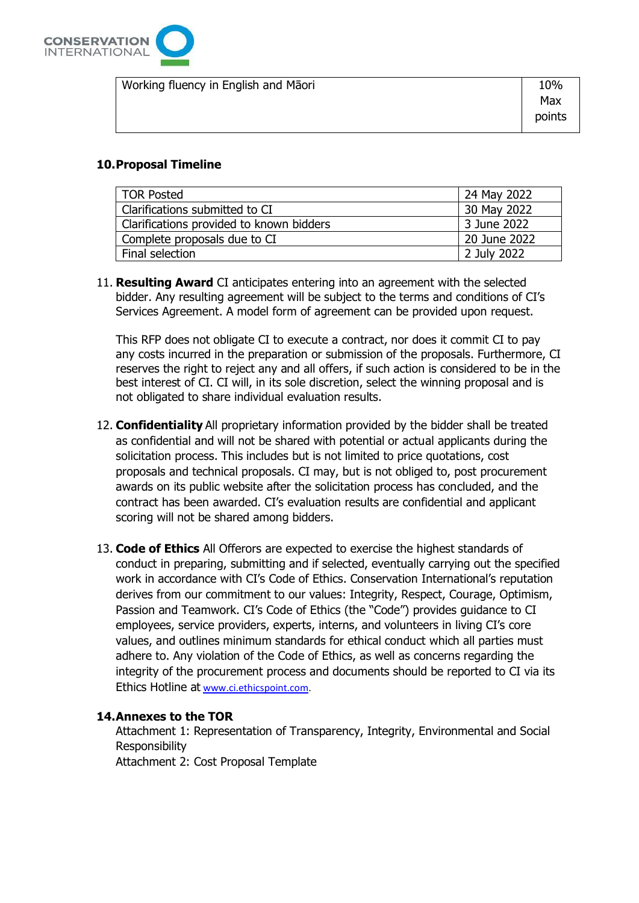

| Working fluency in English and Māori | 10%    |
|--------------------------------------|--------|
|                                      | Max    |
|                                      | points |
|                                      |        |

# **10.Proposal Timeline**

| <b>TOR Posted</b>                        | 24 May 2022  |
|------------------------------------------|--------------|
| Clarifications submitted to CI           | 30 May 2022  |
| Clarifications provided to known bidders | 3 June 2022  |
| Complete proposals due to CI             | 20 June 2022 |
| Final selection                          | 2 July 2022  |

11. **Resulting Award** CI anticipates entering into an agreement with the selected bidder. Any resulting agreement will be subject to the terms and conditions of CI's Services Agreement. A model form of agreement can be provided upon request.

This RFP does not obligate CI to execute a contract, nor does it commit CI to pay any costs incurred in the preparation or submission of the proposals. Furthermore, CI reserves the right to reject any and all offers, if such action is considered to be in the best interest of CI. CI will, in its sole discretion, select the winning proposal and is not obligated to share individual evaluation results.

- 12. **Confidentiality** All proprietary information provided by the bidder shall be treated as confidential and will not be shared with potential or actual applicants during the solicitation process. This includes but is not limited to price quotations, cost proposals and technical proposals. CI may, but is not obliged to, post procurement awards on its public website after the solicitation process has concluded, and the contract has been awarded. CI's evaluation results are confidential and applicant scoring will not be shared among bidders.
- 13. **Code of Ethics** All Offerors are expected to exercise the highest standards of conduct in preparing, submitting and if selected, eventually carrying out the specified work in accordance with CI's Code of Ethics. Conservation International's reputation derives from our commitment to our values: Integrity, Respect, Courage, Optimism, Passion and Teamwork. CI's Code of Ethics (the "Code") provides guidance to CI employees, service providers, experts, interns, and volunteers in living CI's core values, and outlines minimum standards for ethical conduct which all parties must adhere to. Any violation of the Code of Ethics, as well as concerns regarding the integrity of the procurement process and documents should be reported to CI via its Ethics Hotline at [www.ci.ethicspoint.com.](http://www.ci.ethicspoint.com/)

### **14.Annexes to the TOR**

Attachment 1: Representation of Transparency, Integrity, Environmental and Social Responsibility

Attachment 2: Cost Proposal Template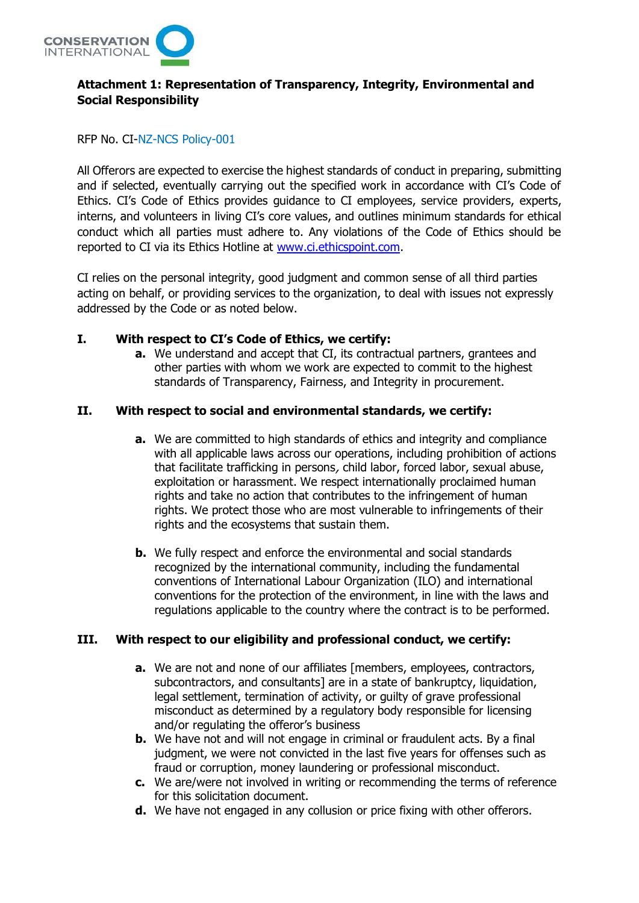

# **Attachment 1: Representation of Transparency, Integrity, Environmental and Social Responsibility**

#### RFP No. CI-NZ-NCS Policy-001

All Offerors are expected to exercise the highest standards of conduct in preparing, submitting and if selected, eventually carrying out the specified work in accordance with CI's Code of Ethics. CI's Code of Ethics provides guidance to CI employees, service providers, experts, interns, and volunteers in living CI's core values, and outlines minimum standards for ethical conduct which all parties must adhere to. Any violations of the Code of Ethics should be reported to CI via its Ethics Hotline at [www.ci.ethicspoint.com.](http://www.ci.ethicspoint.com/)

CI relies on the personal integrity, good judgment and common sense of all third parties acting on behalf, or providing services to the organization, to deal with issues not expressly addressed by the Code or as noted below.

#### **I. With respect to CI's Code of Ethics, we certify:**

**a.** We understand and accept that CI, its contractual partners, grantees and other parties with whom we work are expected to commit to the highest standards of Transparency, Fairness, and Integrity in procurement.

### **II. With respect to social and environmental standards, we certify:**

- **a.** We are committed to high standards of ethics and integrity and compliance with all applicable laws across our operations, including prohibition of actions that facilitate trafficking in persons, child labor, forced labor, sexual abuse, exploitation or harassment. We respect internationally proclaimed human rights and take no action that contributes to the infringement of human rights. We protect those who are most vulnerable to infringements of their rights and the ecosystems that sustain them.
- **b.** We fully respect and enforce the environmental and social standards recognized by the international community, including the fundamental conventions of International Labour Organization (ILO) and international conventions for the protection of the environment, in line with the laws and regulations applicable to the country where the contract is to be performed.

# **III. With respect to our eligibility and professional conduct, we certify:**

- **a.** We are not and none of our affiliates [members, employees, contractors, subcontractors, and consultants] are in a state of bankruptcy, liquidation, legal settlement, termination of activity, or guilty of grave professional misconduct as determined by a regulatory body responsible for licensing and/or regulating the offeror's business
- **b.** We have not and will not engage in criminal or fraudulent acts. By a final judgment, we were not convicted in the last five years for offenses such as fraud or corruption, money laundering or professional misconduct.
- **c.** We are/were not involved in writing or recommending the terms of reference for this solicitation document.
- **d.** We have not engaged in any collusion or price fixing with other offerors.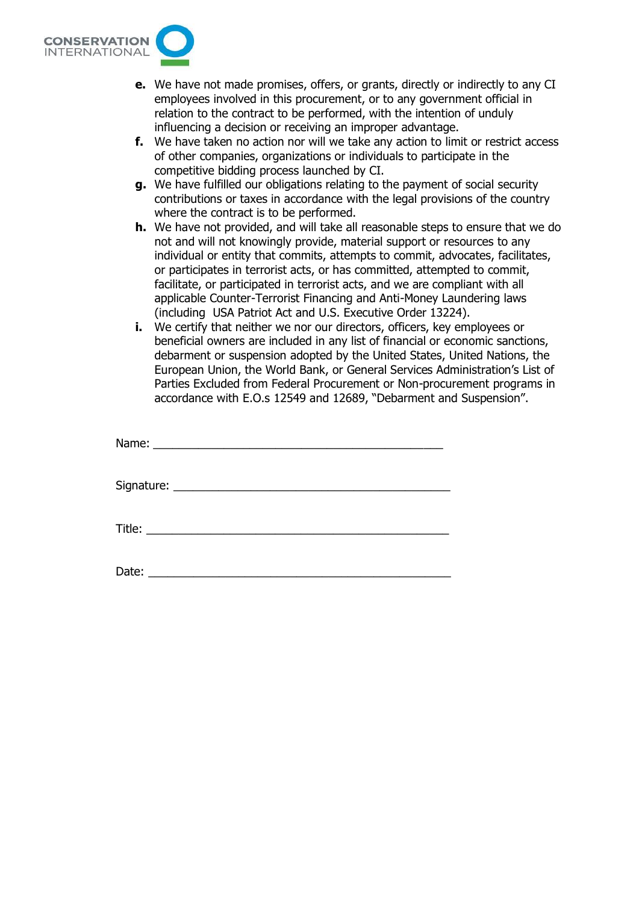

- **e.** We have not made promises, offers, or grants, directly or indirectly to any CI employees involved in this procurement, or to any government official in relation to the contract to be performed, with the intention of unduly influencing a decision or receiving an improper advantage.
- **f.** We have taken no action nor will we take any action to limit or restrict access of other companies, organizations or individuals to participate in the competitive bidding process launched by CI.
- **g.** We have fulfilled our obligations relating to the payment of social security contributions or taxes in accordance with the legal provisions of the country where the contract is to be performed.
- **h.** We have not provided, and will take all reasonable steps to ensure that we do not and will not knowingly provide, material support or resources to any individual or entity that commits, attempts to commit, advocates, facilitates, or participates in terrorist acts, or has committed, attempted to commit, facilitate, or participated in terrorist acts, and we are compliant with all applicable Counter-Terrorist Financing and Anti-Money Laundering laws (including USA Patriot Act and U.S. Executive Order 13224).
- **i.** We certify that neither we nor our directors, officers, key employees or beneficial owners are included in any list of financial or economic sanctions, debarment or suspension adopted by the United States, United Nations, the European Union, the World Bank, or General Services Administration's List of Parties Excluded from Federal Procurement or Non-procurement programs in accordance with E.O.s 12549 and 12689, "Debarment and Suspension".